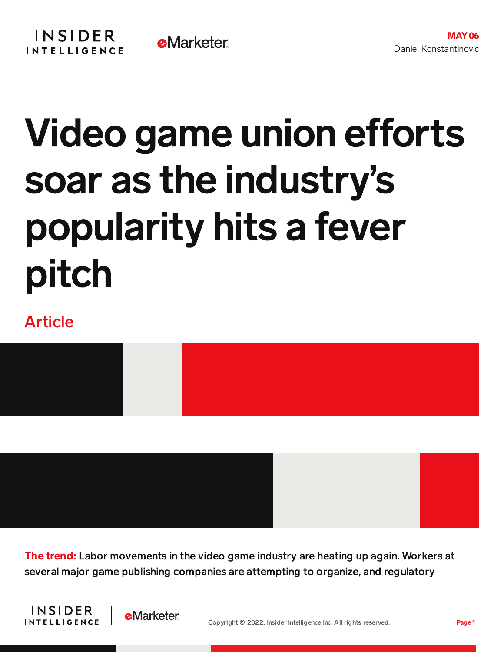## Video game union efforts soar as the industry's popularity hits a fever pitch

## Article



**The trend:** Labor movements in the video game industry are heating up again. Workers at several major game publishing companies are attempting to organize, and regulatory



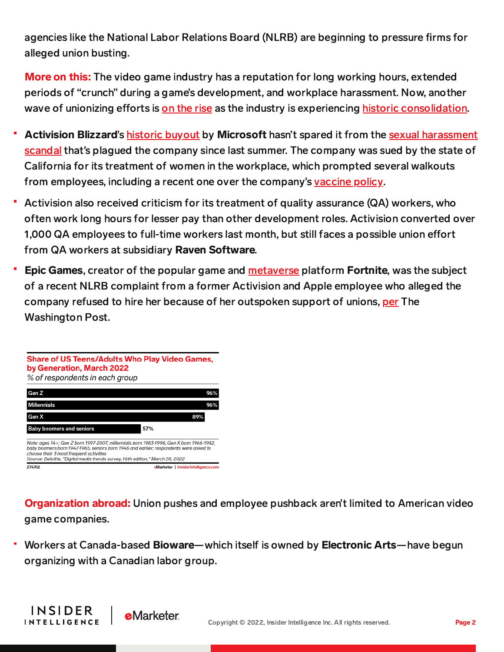agencies like the National Labor Relations Board (NLRB) are beginning to pressure firms for alleged union busting.

**More on this:** The video game industry has a reputation for long working hours, extended periods of "crunch" during a game's development, and workplace harassment. Now, another wave of unionizing efforts is on the [rise](https://content-na2.emarketer.com/independent-games-studio-becomes-first-unionize-north-america) as the industry is experiencing historic [consolidation.](https://content-na2.emarketer.com/sony-buying-bungie-3-6b-frenetic-consolidation-trend-gaming-continues)

- Activision Blizzard's historic [buyout](https://content-na2.emarketer.com/microsoft-s-activision-acquisition-earth-shaking-video-game-industry) by Microsoft hasn't spared it from the sexual [harassment](https://content-na2.emarketer.com/activision-blizzard-faces-fan-industry-backlash-after-wall-street-journal-report-alleges-ceo-misconduct) scandal that's plagued the company since last summer. The company was sued by the state of California for its treatment of women in the workplace, which prompted several walkouts from employees, including a recent one over the company's [vaccine](https://www.polygon.com/23010343/activision-blizzard-vaccine-mandate-demands-abetterabk) policy.
- Activision also received criticism for its treatment of quality assurance (QA) workers, who often work long hours for lesser pay than other development roles. Activision converted over 1,000 QA employees to full-time workers last month, but still faces a possible union effort from QA workers at subsidiary Raven Software.
- Epic Games, creator of the popular game and [metaverse](https://content-na2.emarketer.com/lego-epic-games-announce-deal-create-family-friendly-metaverse-tomorrow-s-consumers) platform Fortnite, was the subject of a recent NLRB complaint from a former Activision and Apple employee who alleged the company refused to hire her because of her outspoken support of unions, [per](https://www.washingtonpost.com/video-games/2022/04/28/epic-games-nlrb/) The Washington Post.



**Organization abroad:** Union pushes and employee pushback aren't limited to American video game companies.

Workers at Canada-based Bioware—which itself is owned by Electronic Arts—have begun organizing with a Canadian labor group.